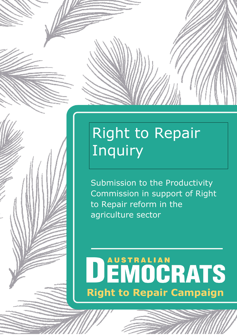## Right to Repair Inquiry

Submission to the Productivity Commission in support of Right to Repair reform in the agriculture sector

## DEMOGRATS **Right to Repair Campaign**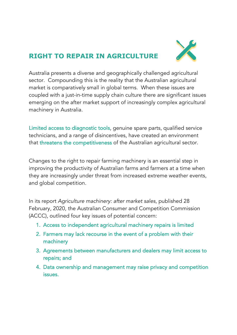## **RIGHT TO REPAIR IN AGRICULTURE**



Australia presents a diverse and geographically challenged agricultural sector. Compounding this is the reality that the Australian agricultural market is comparatively small in global terms. When these issues are coupled with a just-in-time supply chain culture there are significant issues emerging on the after market support of increasingly complex agricultural machinery in Australia.

Limited access to diagnostic tools, genuine spare parts, qualified service technicians, and a range of disincentives, have created an environment that threatens the competitiveness of the Australian agricultural sector.

Changes to the right to repair farming machinery is an essential step in improving the productivity of Australian farms and farmers at a time when they are increasingly under threat from increased extreme weather events, and global competition.

In its report *Agriculture machinery: after market sales*, published 28 February, 2020, the Australian Consumer and Competition Commission (ACCC), outlined four key issues of potential concern:

- 1. Access to independent agricultural machinery repairs is limited
- 2. Farmers may lack recourse in the event of a problem with their machinery
- 3. Agreements between manufacturers and dealers may limit access to repairs; and
- 4. Data ownership and management may raise privacy and competition issues.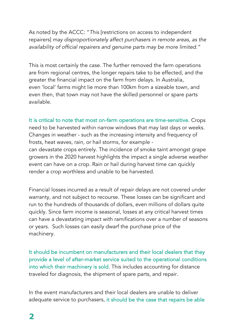As noted by the ACCC: "*This* [restrictions on access to independent repairers] *may disproportionately affect purchasers in remote areas, as the availability of official repairers and genuine parts may be more limited."*

This is most certainly the case. The further removed the farm operations are from regional centres, the longer repairs take to be effected, and the greater the financial impact on the farm from delays. In Australia, even 'local' farms might lie more than 100km from a sizeable town, and even then, that town may not have the skilled personnel or spare parts available.

It is critical to note that most on-farm operations are time-sensitive. Crops need to be harvested within narrow windows that may last days or weeks. Changes in weather - such as the increasing intensity and frequency of frosts, heat waves, rain, or hail storms, for example can devastate crops entirely. The incidence of smoke taint amongst grape growers in the 2020 harvest highlights the impact a single adverse weather event can have on a crop. Rain or hail during harvest time can quickly render a crop worthless and unable to be harvested.

Financial losses incurred as a result of repair delays are not covered under warranty, and not subject to recourse. These losses can be significant and run to the hundreds of thousands of dollars, even millions of dollars quite quickly. Since farm income is seasonal, losses at any critical harvest times can have a devastating impact with ramifications over a number of seasons or years. Such losses can easily dwarf the purchase price of the machinery.

It should be incumbent on manufacturers and their local dealers that they provide a level of after-market service suited to the operational conditions into which their machinery is sold. This includes accounting for distance traveled for diagnosis, the shipment of spare parts, and repair.

In the event manufacturers and their local dealers are unable to deliver adequate service to purchasers, it should be the case that repairs be able